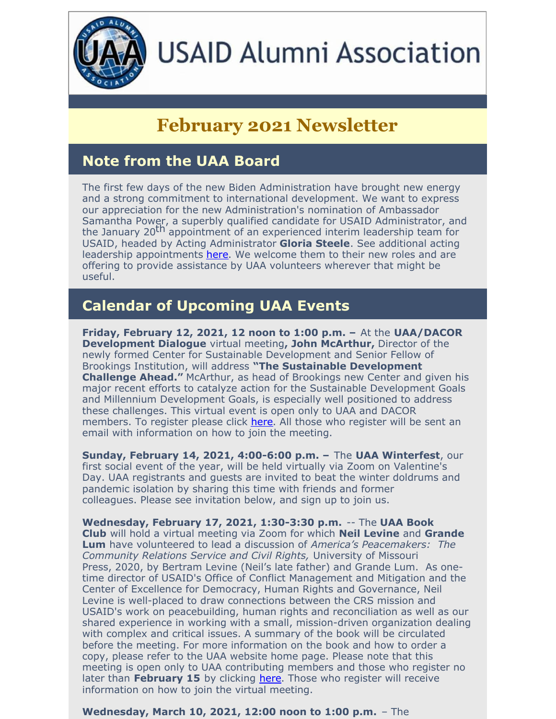

# **USAID Alumni Association**

## **February 2021 Newsletter**

## **Note from the UAA Board**

The first few days of the new Biden Administration have brought new energy and a strong commitment to international development. We want to express our appreciation for the new Administration's nomination of Ambassador Samantha Power, a superbly qualified candidate for USAID Administrator, and the January 20 th appointment of an experienced interim leadership team for USAID, headed by Acting Administrator **Gloria Steele**. See additional acting leadership appointments [here](https://www.usaidalumni.org/wp-content/uploads/2021/01/USAID-Interim-Leadership.pdf). We welcome them to their new roles and are offering to provide assistance by UAA volunteers wherever that might be useful.

## **Calendar of Upcoming UAA Events**

**Friday, February 12, 2021, 12 noon to 1:00 p.m. –** At the **UAA/DACOR Development Dialogue** virtual meeting**, John McArthur,** Director of the newly formed Center for Sustainable Development and Senior Fellow of Brookings Institution, will address **"The Sustainable Development Challenge Ahead."** McArthur, as head of Brookings new Center and given his major recent efforts to catalyze action for the Sustainable Development Goals and Millennium Development Goals, is especially well positioned to address these challenges. This virtual event is open only to UAA and DACOR members. To register please click [here](https://register.gotowebinar.com/register/2675204561995314959). All those who register will be sent an email with information on how to join the meeting.

**Sunday, February 14, 2021, 4:00-6:00 p.m. –** The **UAA Winterfest**, our first social event of the year, will be held virtually via Zoom on Valentine's Day. UAA registrants and guests are invited to beat the winter doldrums and pandemic isolation by sharing this time with friends and former colleagues. Please see invitation below, and sign up to join us.

**Wednesday, February 17, 2021, 1:30-3:30 p.m.** -- The **UAA Book Club** will hold a virtual meeting via Zoom for which **Neil Levine** and **Grande Lum** have volunteered to lead a discussion of *America's Peacemakers: The Community Relations Service and Civil Rights,* University of Missouri Press, 2020, by Bertram Levine (Neil's late father) and Grande Lum. As onetime director of USAID's Office of Conflict Management and Mitigation and the Center of Excellence for Democracy, Human Rights and Governance, Neil Levine is well-placed to draw connections between the CRS mission and USAID's work on peacebuilding, human rights and reconciliation as well as our shared experience in working with a small, mission-driven organization dealing with complex and critical issues. A summary of the book will be circulated before the meeting. For more information on the book and how to order a copy, please refer to the UAA website home page. Please note that this meeting is open only to UAA contributing members and those who register no later than February 15 by clicking [here](https://conta.cc/3t6QXAh). Those who register will receive information on how to join the virtual meeting.

**Wednesday, March 10, 2021, 12:00 noon to 1:00 p.m.** – The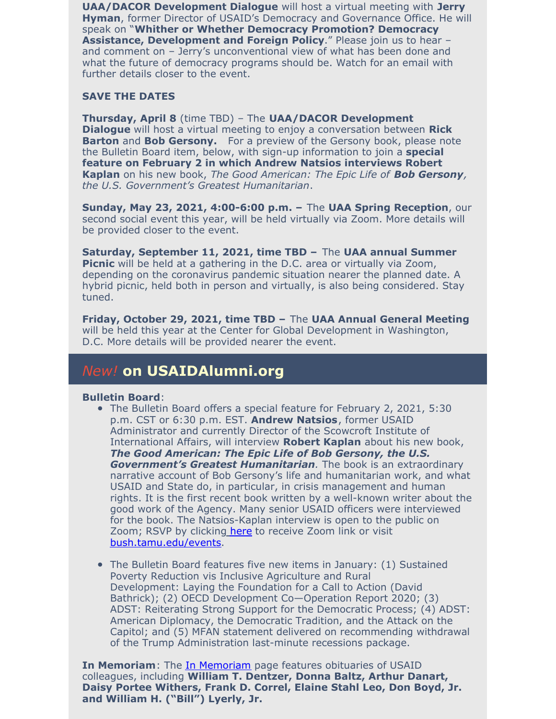**UAA/DACOR Development Dialogue** will host a virtual meeting with **Jerry Hyman**, former Director of USAID's Democracy and Governance Office. He will speak on "**Whither or Whether Democracy Promotion? Democracy Assistance, Development and Foreign Policy**." Please join us to hear – and comment on – Jerry's unconventional view of what has been done and what the future of democracy programs should be. Watch for an email with further details closer to the event.

#### **SAVE THE DATES**

**Thursday, April 8** (time TBD) – The **UAA/DACOR Development Dialogue** will host a virtual meeting to enjoy a conversation between **Rick Barton** and **Bob Gersony.** For a preview of the Gersony book, please note the Bulletin Board item, below, with sign-up information to join a **special feature on February 2 in which Andrew Natsios interviews Robert Kaplan** on his new book, *The Good American: The Epic Life of Bob Gersony, the U.S. Government's Greatest Humanitarian*.

**Sunday, May 23, 2021, 4:00-6:00 p.m. –** The **UAA Spring Reception**, our second social event this year, will be held virtually via Zoom. More details will be provided closer to the event.

**Saturday, September 11, 2021, time TBD –** The **UAA annual Summer Picnic** will be held at a gathering in the D.C. area or virtually via Zoom, depending on the coronavirus pandemic situation nearer the planned date. A hybrid picnic, held both in person and virtually, is also being considered. Stay tuned.

**Friday, October 29, 2021, time TBD –** The **UAA Annual General Meeting** will be held this year at the Center for Global Development in Washington, D.C. More details will be provided nearer the event.

#### *New!* **on USAIDAlumni.org**

#### **Bulletin Board**:

- The Bulletin Board offers a special feature for February 2, 2021, 5:30 p.m. CST or 6:30 p.m. EST. **Andrew Natsios**, former USAID Administrator and currently Director of the Scowcroft Institute of International Affairs, will interview **Robert Kaplan** about his new book, *The Good American: The Epic Life of Bob Gersony, the U.S. Government's Greatest Humanitarian.* The book is an extraordinary narrative account of Bob Gersony's life and humanitarian work, and what USAID and State do, in particular, in crisis management and human rights. It is the first recent book written by a well-known writer about the good work of the Agency. Many senior USAID officers were interviewed for the book. The Natsi[os](http://tx.ag/kaplan21)-Kaplan interview is open to the public on Zoom; RSVP by [clicking](http://tx.ag/kaplan21) [here](http://tx.ag/kaplan21) to receive Zoom link or visit [bush.tamu.edu/events](https://bush.tamu.edu/scowcroft/events/).
- The Bulletin Board features five new items in January: (1) Sustained Poverty Reduction vis Inclusive Agriculture and Rural Development: Laying the Foundation for a Call to Action (David Bathrick); (2) OECD Development Co—Operation Report 2020; (3) ADST: Reiterating Strong Support for the Democratic Process; (4) ADST: American Diplomacy, the Democratic Tradition, and the Attack on the Capitol; and (5) MFAN statement delivered on recommending withdrawal of the Trump Administration last-minute recessions package.

**In Memoriam**: The In [Memoriam](https://www.usaidalumni.org/tribute/) page features obituaries of USAID colleagues, including **William T. Dentzer, Donna Baltz, Arthur Danart, Daisy Portee Withers, Frank D. Correl, Elaine Stahl Leo, Don Boyd, Jr. and William H. ("Bill") Lyerly, Jr.**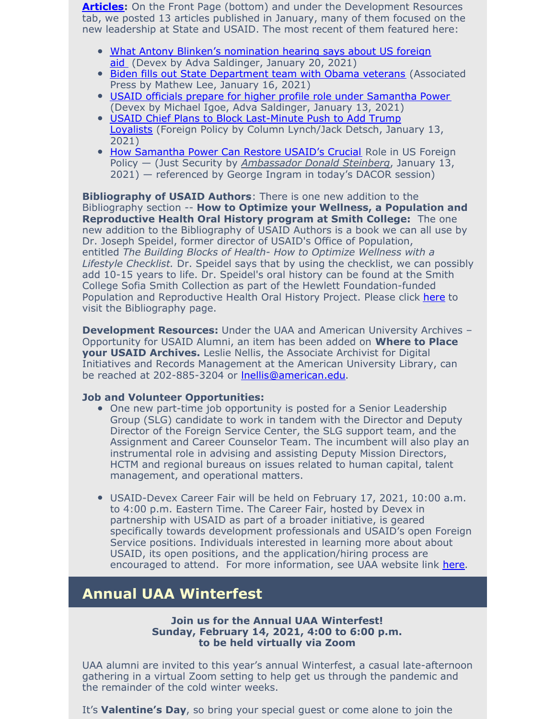**[Articles](https://www.usaidalumni.org/development-issues/articles/):** On the Front Page (bottom) and under the Development Resources tab, we posted 13 articles published in January, many of them focused on the new leadership at State and USAID. The most recent of them featured here:

- What Antony Blinken's [nomination](https://www.devex.com/news/what-antony-blinken-s-nomination-hearing-says-about-us-foreign-aid-98947?) hearing says about US foreign aid (Devex by Adva Saldinger, January 20, 2021)
- **Biden fills out State [Department](https://apnews.com/article/joe-biden-donald-trump-biden-cabinet-antony-blinken-foreign-policy-e7026ce218735c9faec9c7349aefb51e) team with Obama veteran[s](https://apnews.com/article/joe-biden-donald-trump-biden-cabinet-antony-blinken-foreign-policy-e7026ce218735c9faec9c7349aefb51e) (Associated** Press by Mathew Lee, January 16, 2021)
- USAID officials prepare for higher profile role under [Samantha](https://www.usaidalumni.org/wp-content/uploads/2021/01/USAID-officials-prepare-for-Samantha-Power.pdf) Power (Devex by Michael Igoe, Adva Saldinger, January 13, 2021)
- USAID C[h](https://foreignpolicy.com/2021/01/13/usaid-chief-trump-loyalists-conservative-appointees-block/)ief Plans to Block [Last-Minute](https://foreignpolicy.com/2021/01/13/usaid-chief-trump-loyalists-conservative-appointees-block/) Push to Add Trump Loyalists (Foreign Policy by Column Lynch/Jack Detsch, January 13, 2021)
- How [Samantha](https://www.justsecurity.org/74174/how-samantha-power-can-restore-usaids-crucial-role-in-us-foreign-policy/) Power Can Restore USAID's Crucial Role in US Foreign Policy — (Just Security by *[Ambassador](https://www.justsecurity.org/author/steinbergdonald/) Donald Steinberg*, January 13, 2021) — referenced by George Ingram in today's DACOR session)

**Bibliography of USAID Authors**: There is one new addition to the Bibliography section -- **How to Optimize your Wellness, a Population and Reproductive Health Oral History program at Smith College:** The one new addition to the Bibliography of USAID Authors is a book we can all use by Dr. Joseph Speidel, former director of USAID's Office of Population, entitled *The Building Blocks of Health- How to Optimize Wellness with a Lifestyle Checklist.* Dr. Speidel says that by using the checklist, we can possibly add 10-15 years to life. Dr. Speidel's oral history can be found at the Smith College Sofia Smith Collection as part of the Hewlett Foundation-funded Population and Reproductive Health Oral History Project. Please click [here](https://www.usaidalumni.org/bibliography-usaid-authors/) to visit the Bibliography page.

**Development Resources:** Under the UAA and American University Archives – Opportunity for USAID Alumni, an item has been added on **Where to Place your USAID Archives.** Leslie Nellis, the Associate Archivist for Digital Initiatives and Records Management at the American University Library, can be reached at 202-885-3204 or [lnellis@american.edu](mailto:lnellis@american.edu).

#### **Job and Volunteer Opportunities:**

- One new part-time job opportunity is posted for a Senior Leadership Group (SLG) candidate to work in tandem with the Director and Deputy Director of the Foreign Service Center, the SLG support team, and the Assignment and Career Counselor Team. The incumbent will also play an instrumental role in advising and assisting Deputy Mission Directors, HCTM and regional bureaus on issues related to human capital, talent management, and operational matters.
- USAID-Devex Career Fair will be held on February 17, 2021, 10:00 a.m. to 4:00 p.m. Eastern Time. The Career Fair, hosted by Devex in partnership with USAID as part of a broader initiative, is geared specifically towards development professionals and USAID's open Foreign Service positions. Individuals interested in learning more about about USAID, its open positions, and the application/hiring process are encouraged to attend. For more information, see UAA website link [here](https://www.usaidalumni.org/get-involved/job-volunteer-opportunities/).

## **Annual UAA Winterfest**

#### **Join us for the Annual UAA Winterfest! Sunday, February 14, 2021, 4:00 to 6:00 p.m. to be held virtually via Zoom**

UAA alumni are invited to this year's annual Winterfest, a casual late-afternoon gathering in a virtual Zoom setting to help get us through the pandemic and the remainder of the cold winter weeks.

It's **Valentine's Day**, so bring your special guest or come alone to join the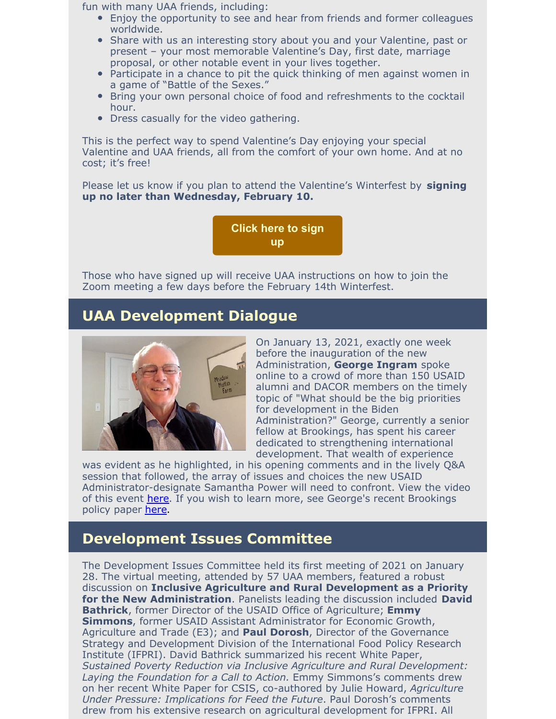fun with many UAA friends, including:

- Enjoy the opportunity to see and hear from friends and former colleagues worldwide.
- Share with us an interesting story about you and your Valentine, past or present – your most memorable Valentine's Day, first date, marriage proposal, or other notable event in your lives together.
- Participate in a chance to pit the quick thinking of men against women in a game of "Battle of the Sexes."
- Bring your own personal choice of food and refreshments to the cocktail hour.
- Dress casually for the video gathering.

This is the perfect way to spend Valentine's Day enjoying your special Valentine and UAA friends, all from the comfort of your own home. And at no cost; it's free!

Please let us know if you plan to attend the Valentine's Winterfest by **signing up no later than Wednesday, February 10.**

> **[Click](https://events.r20.constantcontact.com/register/eventReg?oeidk=a07ehj7790q6eb007c6&oseq=&c=&ch=) here to sign up**

Those who have signed up will receive UAA instructions on how to join the Zoom meeting a few days before the February 14th Winterfest.

#### **UAA Development Dialogue**



On January 13, 2021, exactly one week before the inauguration of the new Administration, **George Ingram** spoke online to a crowd of more than 150 USAID alumni and DACOR members on the timely topic of "What should be the big priorities for development in the Biden Administration?" George, currently a senior fellow at Brookings, has spent his career dedicated to strengthening international development. That wealth of experience

was evident as he highlighted, in his opening comments and in the lively Q&A session that followed, the array of issues and choices the new USAID Administrator-designate Samantha Power will need to confront. View the video of this event [here](https://vimeo.com/500231052/ecbf8fcb93). If you wish to learn more, see George's recent Brookings policy paper [here](https://www.brookings.edu/research/covid-19-exposes-a-changed-world-a-prescription-for-renewing-us-global-partnership/).

#### **Development Issues Committee**

The Development Issues Committee held its first meeting of 2021 on January 28. The virtual meeting, attended by 57 UAA members, featured a robust discussion on **Inclusive Agriculture and Rural Development as a Priority for the New Administration**. Panelists leading the discussion included **David Bathrick**, former Director of the USAID Office of Agriculture; **Emmy Simmons**, former USAID Assistant Administrator for Economic Growth, Agriculture and Trade (E3); and **Paul Dorosh**, Director of the Governance Strategy and Development Division of the International Food Policy Research Institute (IFPRI). David Bathrick summarized his recent White Paper, *Sustained Poverty Reduction via Inclusive Agriculture and Rural Development: Laying the Foundation for a Call to Action.* Emmy Simmons's comments drew on her recent White Paper for CSIS, co-authored by Julie Howard, *Agriculture Under Pressure: Implications for Feed the Future*. Paul Dorosh's comments drew from his extensive research on agricultural development for IFPRI. All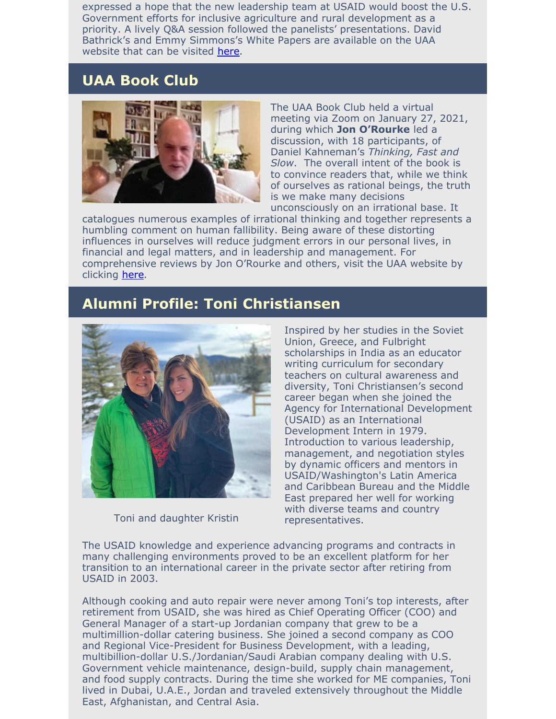expressed a hope that the new leadership team at USAID would boost the U.S. Government efforts for inclusive agriculture and rural development as a priority. A lively Q&A session followed the panelists' presentations. David Bathrick's and Emmy Simmons's White Papers are available on the UAA website that can be visited [here](https://www.usaidalumni.org/wp-content/uploads/2021/01/Sector-Reform-Package-SRSG-Final-Edits.pdf).

## **UAA Book Club**



The UAA Book Club held a virtual meeting via Zoom on January 27, 2021, during which **Jon O'Rourke** led a discussion, with 18 participants, of Daniel Kahneman's *Thinking, Fast and Slow*. The overall intent of the book is to convince readers that, while we think of ourselves as rational beings, the truth is we make many decisions unconsciously on an irrational base. It

catalogues numerous examples of irrational thinking and together represents a humbling comment on human fallibility. Being aware of these distorting influences in ourselves will reduce judgment errors in our personal lives, in financial and legal matters, and in leadership and management. For comprehensive reviews by Jon O'Rourke and others, visit the UAA website by clicking [here](https://www.usaidalumni.org/uaa-book-club-reviews/).

#### **Alumni Profile: Toni Christiansen**



Toni and daughter Kristin

Inspired by her studies in the Soviet Union, Greece, and Fulbright scholarships in India as an educator writing curriculum for secondary teachers on cultural awareness and diversity, Toni Christiansen's second career began when she joined the Agency for International Development (USAID) as an International Development Intern in 1979. Introduction to various leadership, management, and negotiation styles by dynamic officers and mentors in USAID/Washington's Latin America and Caribbean Bureau and the Middle East prepared her well for working with diverse teams and country representatives.

The USAID knowledge and experience advancing programs and contracts in many challenging environments proved to be an excellent platform for her transition to an international career in the private sector after retiring from USAID in 2003.

Although cooking and auto repair were never among Toni's top interests, after retirement from USAID, she was hired as Chief Operating Officer (COO) and General Manager of a start-up Jordanian company that grew to be a multimillion-dollar catering business. She joined a second company as COO and Regional Vice-President for Business Development, with a leading, multibillion-dollar U.S./Jordanian/Saudi Arabian company dealing with U.S. Government vehicle maintenance, design-build, supply chain management, and food supply contracts. During the time she worked for ME companies, Toni lived in Dubai, U.A.E., Jordan and traveled extensively throughout the Middle East, Afghanistan, and Central Asia.